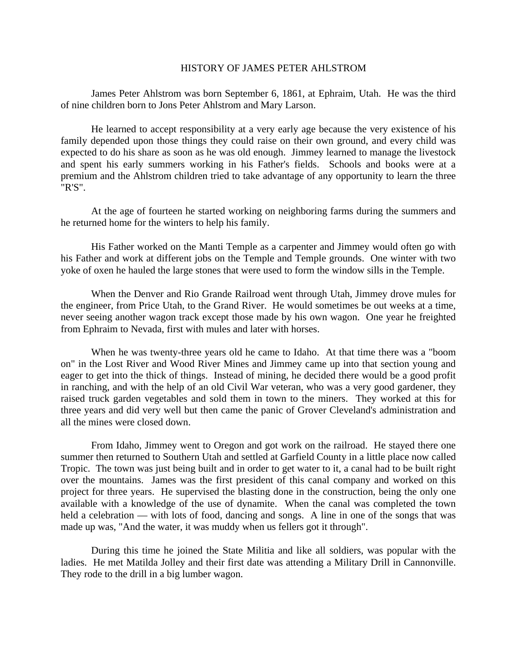## HISTORY OF JAMES PETER AHLSTROM

James Peter Ahlstrom was born September 6, 1861, at Ephraim, Utah. He was the third of nine children born to Jons Peter Ahlstrom and Mary Larson.

He learned to accept responsibility at a very early age because the very existence of his family depended upon those things they could raise on their own ground, and every child was expected to do his share as soon as he was old enough. Jimmey learned to manage the livestock and spent his early summers working in his Father's fields. Schools and books were at a premium and the Ahlstrom children tried to take advantage of any opportunity to learn the three "R'S".

At the age of fourteen he started working on neighboring farms during the summers and he returned home for the winters to help his family.

His Father worked on the Manti Temple as a carpenter and Jimmey would often go with his Father and work at different jobs on the Temple and Temple grounds. One winter with two yoke of oxen he hauled the large stones that were used to form the window sills in the Temple.

When the Denver and Rio Grande Railroad went through Utah, Jimmey drove mules for the engineer, from Price Utah, to the Grand River. He would sometimes be out weeks at a time, never seeing another wagon track except those made by his own wagon. One year he freighted from Ephraim to Nevada, first with mules and later with horses.

When he was twenty-three years old he came to Idaho. At that time there was a "boom on" in the Lost River and Wood River Mines and Jimmey came up into that section young and eager to get into the thick of things. Instead of mining, he decided there would be a good profit in ranching, and with the help of an old Civil War veteran, who was a very good gardener, they raised truck garden vegetables and sold them in town to the miners. They worked at this for three years and did very well but then came the panic of Grover Cleveland's administration and all the mines were closed down.

From Idaho, Jimmey went to Oregon and got work on the railroad. He stayed there one summer then returned to Southern Utah and settled at Garfield County in a little place now called Tropic. The town was just being built and in order to get water to it, a canal had to be built right over the mountains. James was the first president of this canal company and worked on this project for three years. He supervised the blasting done in the construction, being the only one available with a knowledge of the use of dynamite. When the canal was completed the town held a celebration — with lots of food, dancing and songs. A line in one of the songs that was made up was, "And the water, it was muddy when us fellers got it through".

During this time he joined the State Militia and like all soldiers, was popular with the ladies. He met Matilda Jolley and their first date was attending a Military Drill in Cannonville. They rode to the drill in a big lumber wagon.